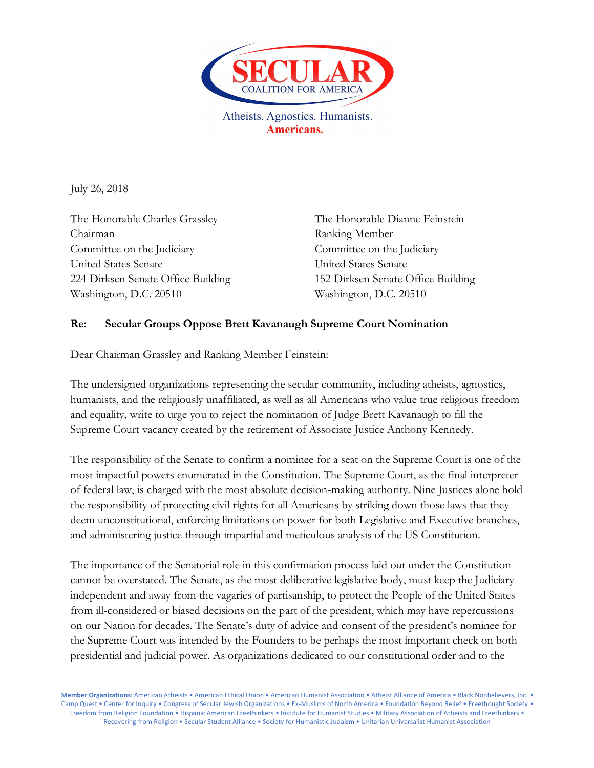

Atheists. Agnostics. Humanists. Americans.

July 26, 2018

The Honorable Charles Grassley The Honorable Dianne Feinstein Chairman Ranking Member Committee on the Judiciary Committee on the Judiciary United States Senate United States Senate Washington, D.C. 20510 Washington, D.C. 20510

224 Dirksen Senate Office Building 152 Dirksen Senate Office Building

## **Re: Secular Groups Oppose Brett Kavanaugh Supreme Court Nomination**

Dear Chairman Grassley and Ranking Member Feinstein:

The undersigned organizations representing the secular community, including atheists, agnostics, humanists, and the religiously unaffiliated, as well as all Americans who value true religious freedom and equality, write to urge you to reject the nomination of Judge Brett Kavanaugh to fill the Supreme Court vacancy created by the retirement of Associate Justice Anthony Kennedy.

The responsibility of the Senate to confirm a nominee for a seat on the Supreme Court is one of the most impactful powers enumerated in the Constitution. The Supreme Court, as the final interpreter of federal law, is charged with the most absolute decision-making authority. Nine Justices alone hold the responsibility of protecting civil rights for all Americans by striking down those laws that they deem unconstitutional, enforcing limitations on power for both Legislative and Executive branches, and administering justice through impartial and meticulous analysis of the US Constitution.

The importance of the Senatorial role in this confirmation process laid out under the Constitution cannot be overstated. The Senate, as the most deliberative legislative body, must keep the Judiciary independent and away from the vagaries of partisanship, to protect the People of the United States from ill-considered or biased decisions on the part of the president, which may have repercussions on our Nation for decades. The Senate's duty of advice and consent of the president's nominee for the Supreme Court was intended by the Founders to be perhaps the most important check on both presidential and judicial power. As organizations dedicated to our constitutional order and to the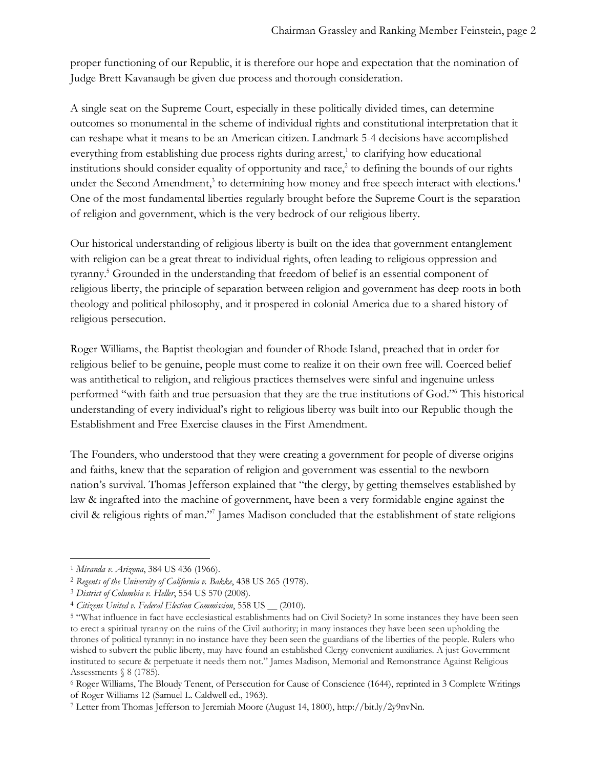proper functioning of our Republic, it is therefore our hope and expectation that the nomination of Judge Brett Kavanaugh be given due process and thorough consideration.

A single seat on the Supreme Court, especially in these politically divided times, can determine outcomes so monumental in the scheme of individual rights and constitutional interpretation that it can reshape what it means to be an American citizen. Landmark 5-4 decisions have accomplished everything from establishing due process rights during arrest, $\frac{1}{1}$  to clarifying how educational institutions should consider equality of opportunity and race, $2$  to defining the bounds of our rights under the Second Amendment,<sup>3</sup> to determining how money and free speech interact with elections.<sup>4</sup> One of the most fundamental liberties regularly brought before the Supreme Court is the separation of religion and government, which is the very bedrock of our religious liberty.

Our historical understanding of religious liberty is built on the idea that government entanglement with religion can be a great threat to individual rights, often leading to religious oppression and tyranny.5 Grounded in the understanding that freedom of belief is an essential component of religious liberty, the principle of separation between religion and government has deep roots in both theology and political philosophy, and it prospered in colonial America due to a shared history of religious persecution.

Roger Williams, the Baptist theologian and founder of Rhode Island, preached that in order for religious belief to be genuine, people must come to realize it on their own free will. Coerced belief was antithetical to religion, and religious practices themselves were sinful and ingenuine unless performed "with faith and true persuasion that they are the true institutions of God."6 This historical understanding of every individual's right to religious liberty was built into our Republic though the Establishment and Free Exercise clauses in the First Amendment.

The Founders, who understood that they were creating a government for people of diverse origins and faiths, knew that the separation of religion and government was essential to the newborn nation's survival. Thomas Jefferson explained that "the clergy, by getting themselves established by law & ingrafted into the machine of government, have been a very formidable engine against the civil & religious rights of man."7 James Madison concluded that the establishment of state religions

<sup>1</sup> *Miranda v. Arizona*, 384 US 436 (1966).

<sup>2</sup> *Regents of the University of California v. Bakke*, 438 US 265 (1978).

<sup>3</sup> *District of Columbia v. Heller*, 554 US 570 (2008).

<sup>4</sup> *Citizens United v. Federal Election Commission*, 558 US \_\_ (2010).

<sup>5</sup> "What influence in fact have ecclesiastical establishments had on Civil Society? In some instances they have been seen to erect a spiritual tyranny on the ruins of the Civil authority; in many instances they have been seen upholding the thrones of political tyranny: in no instance have they been seen the guardians of the liberties of the people. Rulers who wished to subvert the public liberty, may have found an established Clergy convenient auxiliaries. A just Government instituted to secure & perpetuate it needs them not." James Madison, Memorial and Remonstrance Against Religious Assessments § 8 (1785).

<sup>6</sup> Roger Williams, The Bloudy Tenent, of Persecution for Cause of Conscience (1644), reprinted in 3 Complete Writings of Roger Williams 12 (Samuel L. Caldwell ed., 1963).

<sup>7</sup> Letter from Thomas Jefferson to Jeremiah Moore (August 14, 1800), http://bit.ly/2y9nvNn.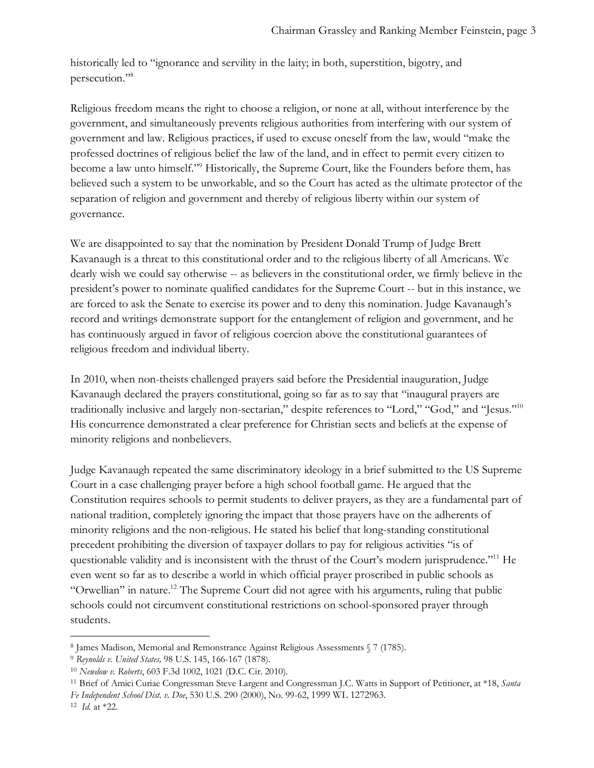historically led to "ignorance and servility in the laity; in both, superstition, bigotry, and persecution."8

Religious freedom means the right to choose a religion, or none at all, without interference by the government, and simultaneously prevents religious authorities from interfering with our system of government and law. Religious practices, if used to excuse oneself from the law, would "make the professed doctrines of religious belief the law of the land, and in effect to permit every citizen to become a law unto himself."9 Historically, the Supreme Court, like the Founders before them, has believed such a system to be unworkable, and so the Court has acted as the ultimate protector of the separation of religion and government and thereby of religious liberty within our system of governance.

We are disappointed to say that the nomination by President Donald Trump of Judge Brett Kavanaugh is a threat to this constitutional order and to the religious liberty of all Americans. We dearly wish we could say otherwise -- as believers in the constitutional order, we firmly believe in the president's power to nominate qualified candidates for the Supreme Court -- but in this instance, we are forced to ask the Senate to exercise its power and to deny this nomination. Judge Kavanaugh's record and writings demonstrate support for the entanglement of religion and government, and he has continuously argued in favor of religious coercion above the constitutional guarantees of religious freedom and individual liberty.

In 2010, when non-theists challenged prayers said before the Presidential inauguration, Judge Kavanaugh declared the prayers constitutional, going so far as to say that "inaugural prayers are traditionally inclusive and largely non-sectarian," despite references to "Lord," "God," and "Jesus."10 His concurrence demonstrated a clear preference for Christian sects and beliefs at the expense of minority religions and nonbelievers.

Judge Kavanaugh repeated the same discriminatory ideology in a brief submitted to the US Supreme Court in a case challenging prayer before a high school football game. He argued that the Constitution requires schools to permit students to deliver prayers, as they are a fundamental part of national tradition, completely ignoring the impact that those prayers have on the adherents of minority religions and the non-religious. He stated his belief that long-standing constitutional precedent prohibiting the diversion of taxpayer dollars to pay for religious activities "is of questionable validity and is inconsistent with the thrust of the Court's modern jurisprudence."<sup>11</sup> He even went so far as to describe a world in which official prayer proscribed in public schools as "Orwellian" in nature.<sup>12</sup> The Supreme Court did not agree with his arguments, ruling that public schools could not circumvent constitutional restrictions on school-sponsored prayer through students.

 $\overline{a}$ 

<sup>8</sup> James Madison, Memorial and Remonstrance Against Religious Assessments § 7 (1785).

<sup>9</sup> *Reynolds v. United States,* 98 U.S. 145, 166-167 (1878).

<sup>10</sup> *Newdow v. Roberts*, 603 F.3d 1002, 1021 (D.C. Cir. 2010).

<sup>11</sup> Brief of Amici Curiae Congressman Steve Largent and Congressman J.C. Watts in Support of Petitioner, at \*18, *Santa* 

*Fe Independent School Dist. v. Doe*, 530 U.S. 290 (2000), No. 99-62, 1999 WL 1272963.

<sup>12</sup> *Id.* at \*22.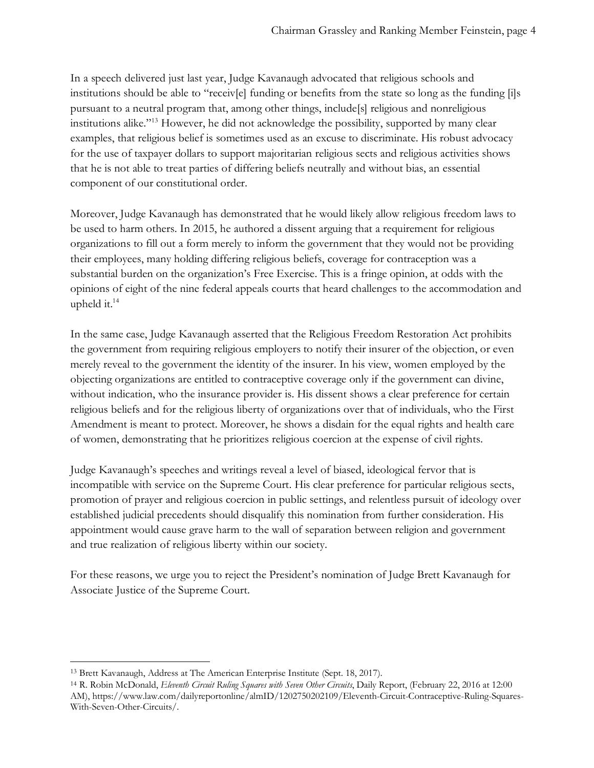In a speech delivered just last year, Judge Kavanaugh advocated that religious schools and institutions should be able to "receiv[e] funding or benefits from the state so long as the funding [i]s pursuant to a neutral program that, among other things, include[s] religious and nonreligious institutions alike."13 However, he did not acknowledge the possibility, supported by many clear examples, that religious belief is sometimes used as an excuse to discriminate. His robust advocacy for the use of taxpayer dollars to support majoritarian religious sects and religious activities shows that he is not able to treat parties of differing beliefs neutrally and without bias, an essential component of our constitutional order.

Moreover, Judge Kavanaugh has demonstrated that he would likely allow religious freedom laws to be used to harm others. In 2015, he authored a dissent arguing that a requirement for religious organizations to fill out a form merely to inform the government that they would not be providing their employees, many holding differing religious beliefs, coverage for contraception was a substantial burden on the organization's Free Exercise. This is a fringe opinion, at odds with the opinions of eight of the nine federal appeals courts that heard challenges to the accommodation and upheld it.14

In the same case, Judge Kavanaugh asserted that the Religious Freedom Restoration Act prohibits the government from requiring religious employers to notify their insurer of the objection, or even merely reveal to the government the identity of the insurer. In his view, women employed by the objecting organizations are entitled to contraceptive coverage only if the government can divine, without indication, who the insurance provider is. His dissent shows a clear preference for certain religious beliefs and for the religious liberty of organizations over that of individuals, who the First Amendment is meant to protect. Moreover, he shows a disdain for the equal rights and health care of women, demonstrating that he prioritizes religious coercion at the expense of civil rights.

Judge Kavanaugh's speeches and writings reveal a level of biased, ideological fervor that is incompatible with service on the Supreme Court. His clear preference for particular religious sects, promotion of prayer and religious coercion in public settings, and relentless pursuit of ideology over established judicial precedents should disqualify this nomination from further consideration. His appointment would cause grave harm to the wall of separation between religion and government and true realization of religious liberty within our society.

For these reasons, we urge you to reject the President's nomination of Judge Brett Kavanaugh for Associate Justice of the Supreme Court.

<sup>13</sup> Brett Kavanaugh, Address at The American Enterprise Institute (Sept. 18, 2017).

<sup>14</sup> R. Robin McDonald, *Eleventh Circuit Ruling Squares with Seven Other Circuits*, Daily Report, (February 22, 2016 at 12:00 AM), https://www.law.com/dailyreportonline/almID/1202750202109/Eleventh-Circuit-Contraceptive-Ruling-Squares-With-Seven-Other-Circuits/.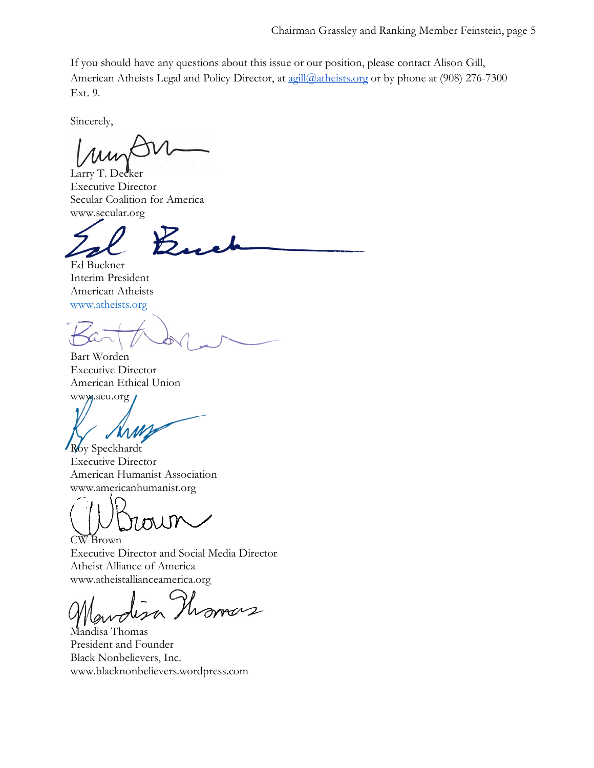If you should have any questions about this issue or our position, please contact Alison Gill, American Atheists Legal and Policy Director, at agill@atheists.org or by phone at (908) 276-7300 Ext. 9.

Sincerely,

Larry T. Dec Executive Director Secular Coalition for America www.secular.org

Ed Buckner Interim President American Atheists www.atheists.org

Bart Worden Executive Director American Ethical Union www.aeu.org

Roy Speckhardt Executive Director American Humanist Association www.americanhumanist.org

TIITY CW Brown

Executive Director and Social Media Director Atheist Alliance of America www.atheistallianceamerica.org

overs

Mandisa Thomas President and Founder Black Nonbelievers, Inc. www.blacknonbelievers.wordpress.com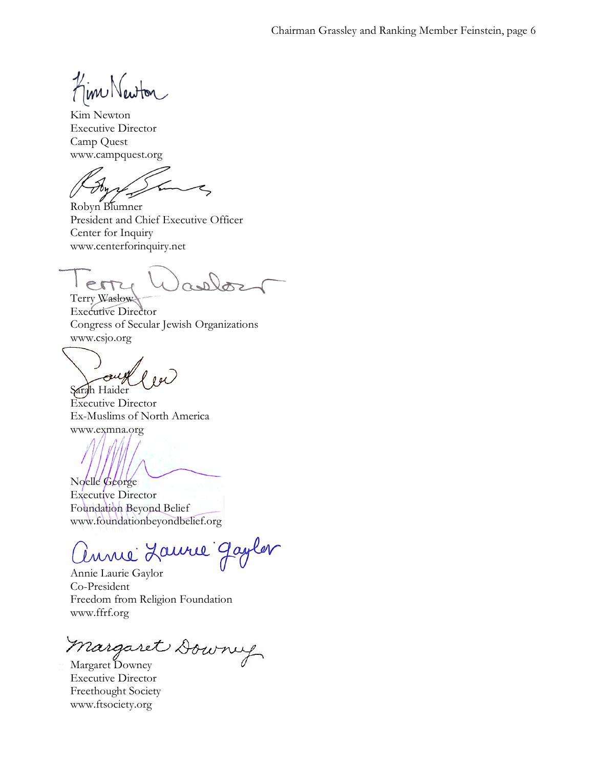Kim Newton

Kim Newton Executive Director Camp Quest www.campquest.org

Robyn Blumner President and Chief Executive Officer Center for Inquiry www.centerforinquiry.net

las err Terry Waslow

Executive Director Congress of Secular Jewish Organizations www.csjo.org

 $\epsilon$  $001$ Sarah Haider

Executive Director Ex-Muslims of North America www.exmna.org

Noelle George Executive Director

Foundation Beyond Belief www.foundationbeyondbelief.org

unie Laurie Gayler

Annie Laurie Gaylor Co-President Freedom from Religion Foundation www.ffrf.org

Margaret Downey

Executive Director Freethought Society www.ftsociety.org